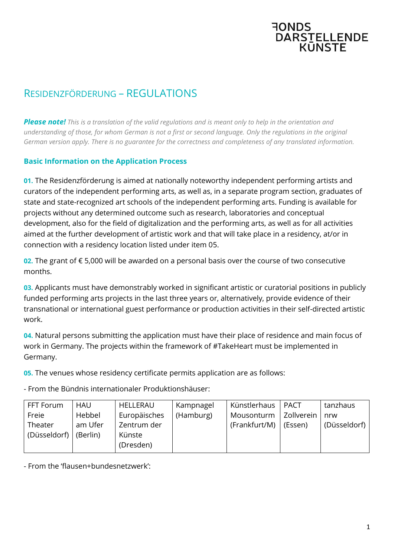## **FONDS** DARSTELLENDE **KUNSTE**

# RESIDENZFÖRDERUNG – REGULATIONS

*Please note! This is a translation of the valid regulations and is meant only to help in the orientation and understanding of those, for whom German is not a first or second language. Only the regulations in the original German version apply. There is no guarantee for the correctness and completeness of any translated information.*

#### **Basic Information on the Application Process**

**01.** The Residenzförderung is aimed at nationally noteworthy independent performing artists and curators of the independent performing arts, as well as, in a separate program section, graduates of state and state-recognized art schools of the independent performing arts. Funding is available for projects without any determined outcome such as research, laboratories and conceptual development, also for the field of digitalization and the performing arts, as well as for all activities aimed at the further development of artistic work and that will take place in a residency, at/or in connection with a residency location listed under item 05.

**02.** The grant of € 5,000 will be awarded on a personal basis over the course of two consecutive months.

**03.** Applicants must have demonstrably worked in significant artistic or curatorial positions in publicly funded performing arts projects in the last three years or, alternatively, provide evidence of their transnational or international guest performance or production activities in their self-directed artistic work.

**04.** Natural persons submitting the application must have their place of residence and main focus of work in Germany. The projects within the framework of #TakeHeart must be implemented in Germany.

**05.** The venues whose residency certificate permits application are as follows:

- From the Bündnis internationaler Produktionshäuser:

| FFT Forum    | <b>HAU</b> | HELLERAU     | Kampnagel | Künstlerhaus  | <b>PACT</b> | tanzhaus     |
|--------------|------------|--------------|-----------|---------------|-------------|--------------|
| Freie        | Hebbel     | Europäisches | (Hamburg) | Mousonturm    | Zollverein  | nrw          |
| Theater      | am Ufer    | Zentrum der  |           | (Frankfurt/M) | (Essen)     | (Düsseldorf) |
| (Düsseldorf) | (Berlin)   | Künste       |           |               |             |              |
|              |            | (Dresden)    |           |               |             |              |

- From the 'flausen+bundesnetzwerk':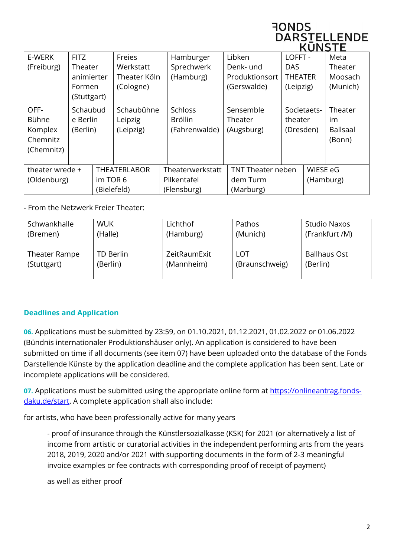

**FONDS** 

- From the Netzwerk Freier Theater:

| Schwankhalle  | <b>WUK</b> | Lichthof     | Pathos         | <b>Studio Naxos</b> |
|---------------|------------|--------------|----------------|---------------------|
| (Bremen)      | (Halle)    | (Hamburg)    | (Munich)       | (Frankfurt /M)      |
| Theater Rampe | TD Berlin  | ZeitRaumExit | LOT            | <b>Ballhaus Ost</b> |
| (Stuttgart)   | (Berlin)   | (Mannheim)   | (Braunschweig) | (Berlin)            |

### **Deadlines and Application**

**06.** Applications must be submitted by 23:59, on 01.10.2021, 01.12.2021, 01.02.2022 or 01.06.2022 (Bündnis internationaler Produktionshäuser only). An application is considered to have been submitted on time if all documents (see item 07) have been uploaded onto the database of the Fonds Darstellende Künste by the application deadline and the complete application has been sent. Late or incomplete applications will be considered.

**07.** Applications must be submitted using the appropriate online form at [https://onlineantrag.fonds](https://onlineantrag.fonds-daku.de/start)[daku.de/start.](https://onlineantrag.fonds-daku.de/start) A complete application shall also include:

for artists, who have been professionally active for many years

- proof of insurance through the Künstlersozialkasse (KSK) for 2021 (or alternatively a list of income from artistic or curatorial activities in the independent performing arts from the years 2018, 2019, 2020 and/or 2021 with supporting documents in the form of 2-3 meaningful invoice examples or fee contracts with corresponding proof of receipt of payment)

as well as either proof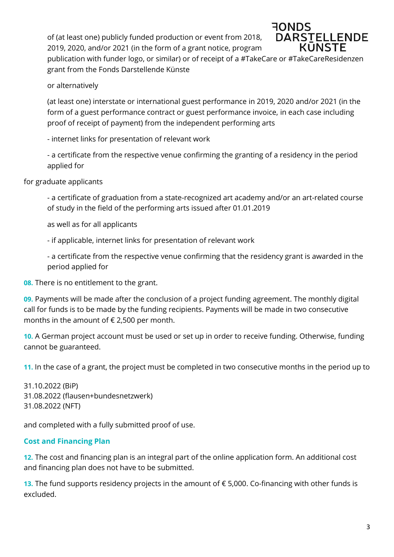of (at least one) publicly funded production or event from 2018, 2019, 2020, and/or 2021 (in the form of a grant notice, program

**FONDS DARSTELLENDE KUNSTE** 

publication with funder logo, or similar) or of receipt of a #TakeCare or #TakeCareResidenzen grant from the Fonds Darstellende Künste

or alternatively

(at least one) interstate or international guest performance in 2019, 2020 and/or 2021 (in the form of a guest performance contract or guest performance invoice, in each case including proof of receipt of payment) from the independent performing arts

- internet links for presentation of relevant work

- a certificate from the respective venue confirming the granting of a residency in the period applied for

for graduate applicants

- a certificate of graduation from a state-recognized art academy and/or an art-related course of study in the field of the performing arts issued after 01.01.2019

as well as for all applicants

- if applicable, internet links for presentation of relevant work

- a certificate from the respective venue confirming that the residency grant is awarded in the period applied for

**08.** There is no entitlement to the grant.

**09.** Payments will be made after the conclusion of a project funding agreement. The monthly digital call for funds is to be made by the funding recipients. Payments will be made in two consecutive months in the amount of  $\epsilon$  2,500 per month.

**10.** A German project account must be used or set up in order to receive funding. Otherwise, funding cannot be guaranteed.

**11.** In the case of a grant, the project must be completed in two consecutive months in the period up to

31.10.2022 (BiP) 31.08.2022 (flausen+bundesnetzwerk) 31.08.2022 (NFT)

and completed with a fully submitted proof of use.

### **Cost and Financing Plan**

**12.** The cost and financing plan is an integral part of the online application form. An additional cost and financing plan does not have to be submitted.

**13.** The fund supports residency projects in the amount of € 5,000. Co-financing with other funds is excluded.